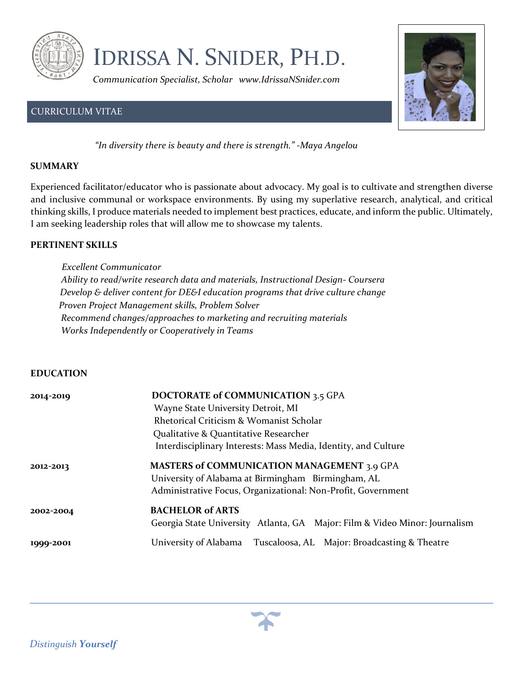

# IDRISSA N. SNIDER, PH.D.

*Communication Specialist, Scholar www.IdrissaNSnider.com* 

# CURRICULUM VITAE



 *"In diversity there is beauty and there is strength." -Maya Angelou* 

#### **SUMMARY**

Experienced facilitator/educator who is passionate about advocacy. My goal is to cultivate and strengthen diverse and inclusive communal or workspace environments. By using my superlative research, analytical, and critical thinking skills, I produce materials needed to implement best practices, educate, and inform the public. Ultimately, I am seeking leadership roles that will allow me to showcase my talents.

#### **PERTINENT SKILLS**

 *Excellent Communicator Ability to read/write research data and materials, Instructional Design- Coursera Develop & deliver content for DE&I education programs that drive culture change Proven Project Management skills, Problem Solver Recommend changes/approaches to marketing and recruiting materials Works Independently or Cooperatively in Teams* 

#### **EDUCATION**

| 2014-2019 | <b>DOCTORATE of COMMUNICATION 3.5 GPA</b>                                  |
|-----------|----------------------------------------------------------------------------|
|           | Wayne State University Detroit, MI                                         |
|           | Rhetorical Criticism & Womanist Scholar                                    |
|           | Qualitative & Quantitative Researcher                                      |
|           | Interdisciplinary Interests: Mass Media, Identity, and Culture             |
| 2012-2013 | <b>MASTERS of COMMUNICATION MANAGEMENT 3.9 GPA</b>                         |
|           | University of Alabama at Birmingham Birmingham, AL                         |
|           | Administrative Focus, Organizational: Non-Profit, Government               |
| 2002-2004 | <b>BACHELOR of ARTS</b>                                                    |
|           | Georgia State University Atlanta, GA Major: Film & Video Minor: Journalism |
| 1999-2001 | Tuscaloosa, AL Major: Broadcasting & Theatre<br>University of Alabama      |



*Distinguish Yourself*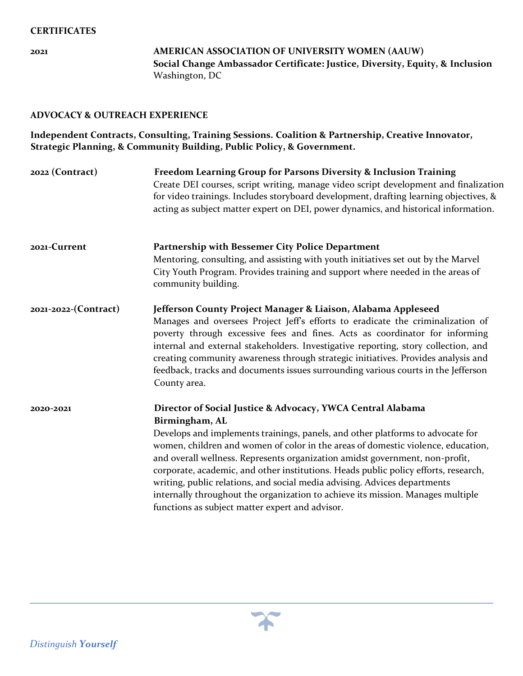**2021 AMERICAN ASSOCIATION OF UNIVERSITY WOMEN (AAUW) Social Change Ambassador Certificate: Justice, Diversity, Equity, & Inclusion** Washington, DC

#### **ADVOCACY & OUTREACH EXPERIENCE**

**Independent Contracts, Consulting, Training Sessions. Coalition & Partnership, Creative Innovator, Strategic Planning, & Community Building, Public Policy, & Government.** 

| 2022 (Contract)      | Freedom Learning Group for Parsons Diversity & Inclusion Training<br>Create DEI courses, script writing, manage video script development and finalization<br>for video trainings. Includes storyboard development, drafting learning objectives, &<br>acting as subject matter expert on DEI, power dynamics, and historical information.                                                                                                                                                                                                                                                                                                     |
|----------------------|-----------------------------------------------------------------------------------------------------------------------------------------------------------------------------------------------------------------------------------------------------------------------------------------------------------------------------------------------------------------------------------------------------------------------------------------------------------------------------------------------------------------------------------------------------------------------------------------------------------------------------------------------|
| 2021-Current         | <b>Partnership with Bessemer City Police Department</b>                                                                                                                                                                                                                                                                                                                                                                                                                                                                                                                                                                                       |
|                      | Mentoring, consulting, and assisting with youth initiatives set out by the Marvel<br>City Youth Program. Provides training and support where needed in the areas of<br>community building.                                                                                                                                                                                                                                                                                                                                                                                                                                                    |
| 2021-2022-(Contract) | Jefferson County Project Manager & Liaison, Alabama Appleseed<br>Manages and oversees Project Jeff's efforts to eradicate the criminalization of<br>poverty through excessive fees and fines. Acts as coordinator for informing<br>internal and external stakeholders. Investigative reporting, story collection, and<br>creating community awareness through strategic initiatives. Provides analysis and<br>feedback, tracks and documents issues surrounding various courts in the Jefferson<br>County area.                                                                                                                               |
| 2020-2021            | Director of Social Justice & Advocacy, YWCA Central Alabama<br>Birmingham, AL<br>Develops and implements trainings, panels, and other platforms to advocate for<br>women, children and women of color in the areas of domestic violence, education,<br>and overall wellness. Represents organization amidst government, non-profit,<br>corporate, academic, and other institutions. Heads public policy efforts, research,<br>writing, public relations, and social media advising. Advices departments<br>internally throughout the organization to achieve its mission. Manages multiple<br>functions as subject matter expert and advisor. |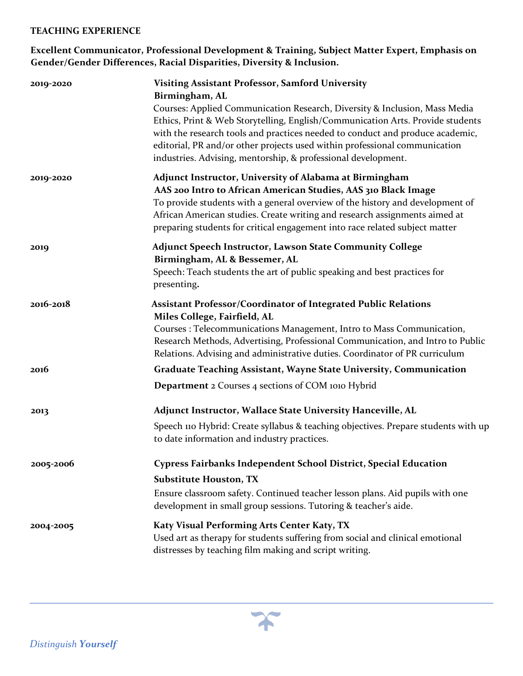#### **TEACHING EXPERIENCE**

# **Excellent Communicator, Professional Development & Training, Subject Matter Expert, Emphasis on Gender/Gender Differences, Racial Disparities, Diversity & Inclusion.**

| 2019-2020 | <b>Visiting Assistant Professor, Samford University</b><br>Birmingham, AL<br>Courses: Applied Communication Research, Diversity & Inclusion, Mass Media                                                                                                                                                                                                                 |
|-----------|-------------------------------------------------------------------------------------------------------------------------------------------------------------------------------------------------------------------------------------------------------------------------------------------------------------------------------------------------------------------------|
|           | Ethics, Print & Web Storytelling, English/Communication Arts. Provide students<br>with the research tools and practices needed to conduct and produce academic,<br>editorial, PR and/or other projects used within professional communication<br>industries. Advising, mentorship, & professional development.                                                          |
| 2019-2020 | Adjunct Instructor, University of Alabama at Birmingham<br>AAS 200 Intro to African American Studies, AAS 310 Black Image<br>To provide students with a general overview of the history and development of<br>African American studies. Create writing and research assignments aimed at<br>preparing students for critical engagement into race related subject matter |
| 2019      | <b>Adjunct Speech Instructor, Lawson State Community College</b><br>Birmingham, AL & Bessemer, AL<br>Speech: Teach students the art of public speaking and best practices for<br>presenting.                                                                                                                                                                            |
| 2016-2018 | <b>Assistant Professor/Coordinator of Integrated Public Relations</b><br>Miles College, Fairfield, AL<br>Courses : Telecommunications Management, Intro to Mass Communication,<br>Research Methods, Advertising, Professional Communication, and Intro to Public<br>Relations. Advising and administrative duties. Coordinator of PR curriculum                         |
| 2016      | <b>Graduate Teaching Assistant, Wayne State University, Communication</b>                                                                                                                                                                                                                                                                                               |
|           | <b>Department 2 Courses 4 sections of COM 1010 Hybrid</b>                                                                                                                                                                                                                                                                                                               |
| 2013      | Adjunct Instructor, Wallace State University Hanceville, AL                                                                                                                                                                                                                                                                                                             |
|           | Speech 110 Hybrid: Create syllabus & teaching objectives. Prepare students with up<br>to date information and industry practices.                                                                                                                                                                                                                                       |
| 2005-2006 | Cypress Fairbanks Independent School District, Special Education                                                                                                                                                                                                                                                                                                        |
|           | <b>Substitute Houston, TX</b>                                                                                                                                                                                                                                                                                                                                           |
|           | Ensure classroom safety. Continued teacher lesson plans. Aid pupils with one<br>development in small group sessions. Tutoring & teacher's aide.                                                                                                                                                                                                                         |
| 2004-2005 | Katy Visual Performing Arts Center Katy, TX<br>Used art as therapy for students suffering from social and clinical emotional<br>distresses by teaching film making and script writing.                                                                                                                                                                                  |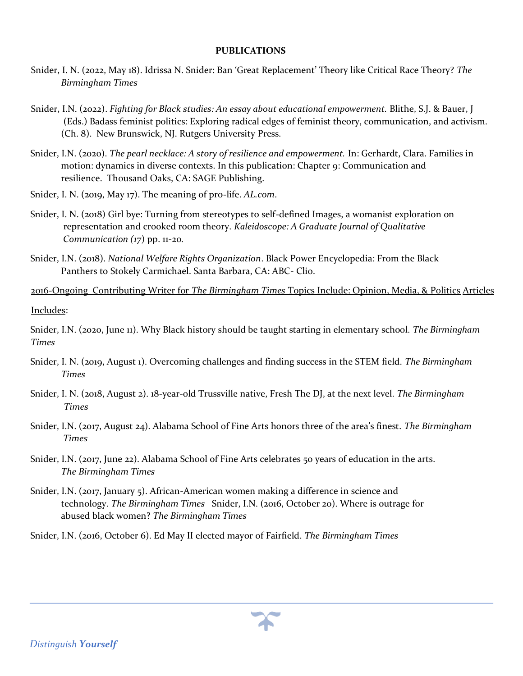#### **PUBLICATIONS**

- Snider, I. N. (2022, May 18). Idrissa N. Snider: Ban 'Great Replacement' Theory like Critical Race Theory? *The Birmingham Times*
- Snider, I.N. (2022). *Fighting for Black studies: An essay about educational empowerment.* Blithe, S.J. & Bauer, J (Eds.) Badass feminist politics: Exploring radical edges of feminist theory, communication, and activism. (Ch. 8). New Brunswick, NJ. Rutgers University Press.
- Snider, I.N. (2020). *The pearl necklace: A story of resilience and empowerment.* In: Gerhardt, Clara. Families in motion: dynamics in diverse contexts. In this publication: Chapter 9: Communication and resilience. Thousand Oaks, CA: SAGE Publishing.
- Snider, I. N. (2019, May 17). The meaning of pro-life. *AL.com*.
- Snider, I. N. (2018) Girl bye: Turning from stereotypes to self-defined Images, a womanist exploration on representation and crooked room theory. *Kaleidoscope: A Graduate Journal of Qualitative Communication (17*) pp. 11-20*.*
- Snider, I.N. (2018). *National Welfare Rights Organization*. Black Power Encyclopedia: From the Black Panthers to Stokely Carmichael. Santa Barbara, CA: ABC- Clio.
- 2016-Ongoing Contributing Writer for *The Birmingham Times* Topics Include: Opinion, Media, & Politics Articles Includes:

Snider, I.N. (2020, June 11). Why Black history should be taught starting in elementary school. *The Birmingham Times* 

- Snider, I. N. (2019, August 1). Overcoming challenges and finding success in the STEM field. *The Birmingham Times*
- Snider, I. N. (2018, August 2). 18-year-old Trussville native, Fresh The DJ, at the next level. *The Birmingham Times*
- Snider, I.N. (2017, August 24). Alabama School of Fine Arts honors three of the area's finest. *The Birmingham Times*
- Snider, I.N. (2017, June 22). Alabama School of Fine Arts celebrates 50 years of education in the arts. *The Birmingham Times*
- Snider, I.N. (2017, January 5). African-American women making a difference in science and technology. *The Birmingham Times* Snider, I.N. (2016, October 20). Where is outrage for abused black women? *The Birmingham Times*
- Snider, I.N. (2016, October 6). Ed May II elected mayor of Fairfield. *The Birmingham Times*

*Distinguish Yourself*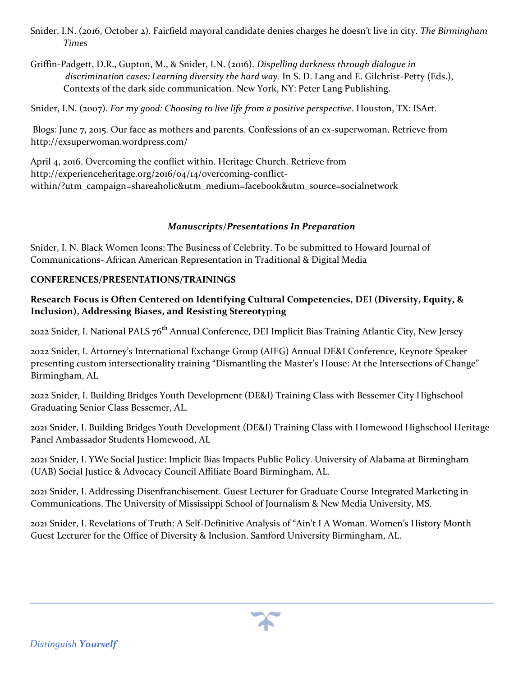- Snider, I.N. (2016, October 2). Fairfield mayoral candidate denies charges he doesn't live in city. *The Birmingham Times*
- Griffin-Padgett, D.R., Gupton, M., & Snider, I.N. (2016). *Dispelling darkness through dialogue in discrimination cases: Learning diversity the hard way.* In S. D. Lang and E. Gilchrist-Petty (Eds.), Contexts of the dark side communication. New York, NY: Peter Lang Publishing.

Snider, I.N. (2007). *For my good: Choosing to live life from a positive perspective*. Houston, TX: ISArt.

Blogs: June 7, 2015. Our face as mothers and parents. Confessions of an ex-superwoman. Retrieve from http://exsuperwoman.wordpress.com/

April 4, 2016. Overcoming the conflict within. Heritage Church. Retrieve from http://experienceheritage.org/2016/04/14/overcoming-conflictwithin/?utm\_campaign=shareaholic&utm\_medium=facebook&utm\_source=socialnetwork

## *Manuscripts/Presentations In Preparation*

Snider, I. N. Black Women Icons: The Business of Celebrity. To be submitted to Howard Journal of Communications- African American Representation in Traditional & Digital Media

## **CONFERENCES/PRESENTATIONS/TRAININGS**

# **Research Focus is Often Centered on Identifying Cultural Competencies, DEI (Diversity, Equity, & Inclusion), Addressing Biases, and Resisting Stereotyping**

2022 Snider, I. National PALS 76<sup>th</sup> Annual Conference, DEI Implicit Bias Training Atlantic City, New Jersey

2022 Snider, I. Attorney's International Exchange Group (AIEG) Annual DE&I Conference, Keynote Speaker presenting custom intersectionality training "Dismantling the Master's House: At the Intersections of Change" Birmingham, AL

2022 Snider, I. Building Bridges Youth Development (DE&I) Training Class with Bessemer City Highschool Graduating Senior Class Bessemer, AL.

2021 Snider, I. Building Bridges Youth Development (DE&I) Training Class with Homewood Highschool Heritage Panel Ambassador Students Homewood, AL

2021 Snider, I. YWe Social Justice: Implicit Bias Impacts Public Policy. University of Alabama at Birmingham (UAB) Social Justice & Advocacy Council Affiliate Board Birmingham, AL.

2021 Snider, I. Addressing Disenfranchisement. Guest Lecturer for Graduate Course Integrated Marketing in Communications. The University of Mississippi School of Journalism & New Media University, MS.

2021 Snider, I. Revelations of Truth: A Self-Definitive Analysis of "Ain't I A Woman. Women's History Month Guest Lecturer for the Office of Diversity & Inclusion. Samford University Birmingham, AL.

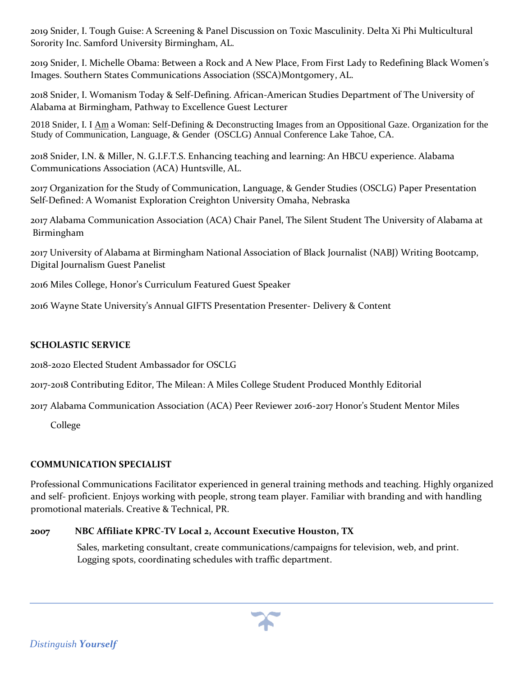2019 Snider, I. Tough Guise: A Screening & Panel Discussion on Toxic Masculinity. Delta Xi Phi Multicultural Sorority Inc. Samford University Birmingham, AL.

2019 Snider, I. Michelle Obama: Between a Rock and A New Place, From First Lady to Redefining Black Women's Images. Southern States Communications Association (SSCA)Montgomery, AL.

2018 Snider, I. Womanism Today & Self-Defining. African-American Studies Department of The University of Alabama at Birmingham, Pathway to Excellence Guest Lecturer

2018 Snider, I. I Am a Woman: Self-Defining & Deconstructing Images from an Oppositional Gaze. Organization for the Study of Communication, Language, & Gender (OSCLG) Annual Conference Lake Tahoe, CA.

2018 Snider, I.N. & Miller, N. G.I.F.T.S. Enhancing teaching and learning: An HBCU experience. Alabama Communications Association (ACA) Huntsville, AL.

2017 Organization for the Study of Communication, Language, & Gender Studies (OSCLG) Paper Presentation Self-Defined: A Womanist Exploration Creighton University Omaha, Nebraska

2017 Alabama Communication Association (ACA) Chair Panel, The Silent Student The University of Alabama at Birmingham

2017 University of Alabama at Birmingham National Association of Black Journalist (NABJ) Writing Bootcamp, Digital Journalism Guest Panelist

2016 Miles College, Honor's Curriculum Featured Guest Speaker

2016 Wayne State University's Annual GIFTS Presentation Presenter- Delivery & Content

# **SCHOLASTIC SERVICE**

2018-2020 Elected Student Ambassador for OSCLG

2017-2018 Contributing Editor, The Milean: A Miles College Student Produced Monthly Editorial

2017 Alabama Communication Association (ACA) Peer Reviewer 2016-2017 Honor's Student Mentor Miles

College

# **COMMUNICATION SPECIALIST**

Professional Communications Facilitator experienced in general training methods and teaching. Highly organized and self- proficient. Enjoys working with people, strong team player. Familiar with branding and with handling promotional materials. Creative & Technical, PR.

# **2007 NBC Affiliate KPRC-TV Local 2, Account Executive Houston, TX**

Sales, marketing consultant, create communications/campaigns for television, web, and print. Logging spots, coordinating schedules with traffic department.

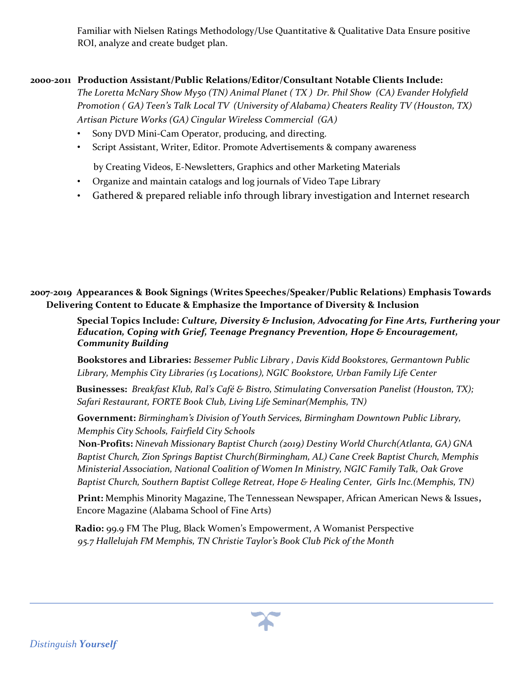Familiar with Nielsen Ratings Methodology/Use Quantitative & Qualitative Data Ensure positive ROI, analyze and create budget plan.

#### **2000-2011****Production Assistant/Public Relations/Editor/Consultant Notable Clients Include:**

*The Loretta McNary Show My50 (TN) Animal Planet ( TX ) Dr. Phil Show (CA) Evander Holyfield Promotion ( GA) Teen's Talk Local TV (University of Alabama) Cheaters Reality TV (Houston, TX) Artisan Picture Works (GA) Cingular Wireless Commercial (GA)* 

- Sony DVD Mini-Cam Operator, producing, and directing.
- Script Assistant, Writer, Editor. Promote Advertisements & company awareness

by Creating Videos, E-Newsletters, Graphics and other Marketing Materials

- Organize and maintain catalogs and log journals of Video Tape Library
- Gathered & prepared reliable info through library investigation and Internet research

**2007-2019 Appearances & Book Signings (Writes Speeches/Speaker/Public Relations) Emphasis Towards Delivering Content to Educate & Emphasize the Importance of Diversity & Inclusion** 

> **Special Topics Include:** *Culture, Diversity & Inclusion, Advocating for Fine Arts, Furthering your Education, Coping with Grief, Teenage Pregnancy Prevention, Hope & Encouragement, Community Building*

**Bookstores and Libraries:** *Bessemer Public Library , Davis Kidd Bookstores, Germantown Public Library, Memphis City Libraries (15 Locations), NGIC Bookstore, Urban Family Life Center* 

 **Businesses:** *Breakfast Klub, Ral's Café & Bistro, Stimulating Conversation Panelist (Houston, TX); Safari Restaurant, FORTE Book Club, Living Life Seminar(Memphis, TN)* 

**Government:** *Birmingham's Division of Youth Services, Birmingham Downtown Public Library, Memphis City Schools, Fairfield City Schools* 

 **Non-Profits:** *Ninevah Missionary Baptist Church (2019) Destiny World Church(Atlanta, GA) GNA Baptist Church, Zion Springs Baptist Church(Birmingham, AL) Cane Creek Baptist Church, Memphis Ministerial Association, National Coalition of Women In Ministry, NGIC Family Talk, Oak Grove Baptist Church, Southern Baptist College Retreat, Hope & Healing Center, Girls Inc.(Memphis, TN)* 

 **Print:** Memphis Minority Magazine, The Tennessean Newspaper, African American News & Issues**,**  Encore Magazine (Alabama School of Fine Arts)

 **Radio:** 99.9 FM The Plug, Black Women's Empowerment, A Womanist Perspective*95.7 Hallelujah FM Memphis, TN Christie Taylor's Book Club Pick of the Month* 

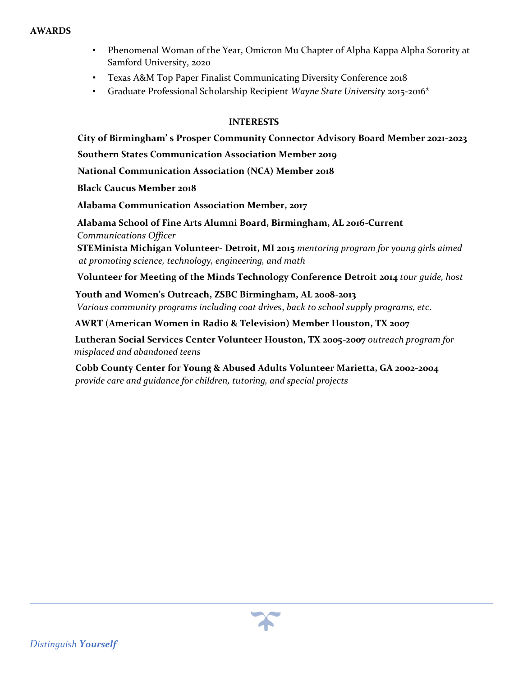#### **AWARDS**

- Phenomenal Woman of the Year, Omicron Mu Chapter of Alpha Kappa Alpha Sorority at Samford University, 2020
- Texas A&M Top Paper Finalist Communicating Diversity Conference 2018
- Graduate Professional Scholarship Recipient *Wayne State University* 2015-2016\*

## **INTERESTS**

**City of Birmingham' s Prosper Community Connector Advisory Board Member 2021-2023**

 **Southern States Communication Association Member 2019** 

 **National Communication Association (NCA) Member 2018** 

 **Black Caucus Member 2018** 

 **Alabama Communication Association Member, 2017** 

 **Alabama School of Fine Arts Alumni Board, Birmingham, AL 2016-Current** *Communications Officer* 

**STEMinista Michigan Volunteer**- **Detroit, MI 2015** *mentoring program for young girls aimed at promoting science, technology, engineering, and math*

**Volunteer for Meeting of the Minds Technology Conference Detroit 2014** *tour guide, host*

 **Youth and Women's Outreach, ZSBC Birmingham, AL 2008-2013** *Various community programs including coat drives*, *back to school supply programs, etc*.

**AWRT** (**American Women in Radio & Television) Member Houston, TX 2007**

 **Lutheran Social Services Center Volunteer Houston, TX 2005-2007** *outreach program for misplaced and abandoned teens*

**Cobb County Center for Young & Abused Adults Volunteer Marietta, GA 2002-2004**  *provide care and guidance for children, tutoring, and special projects*